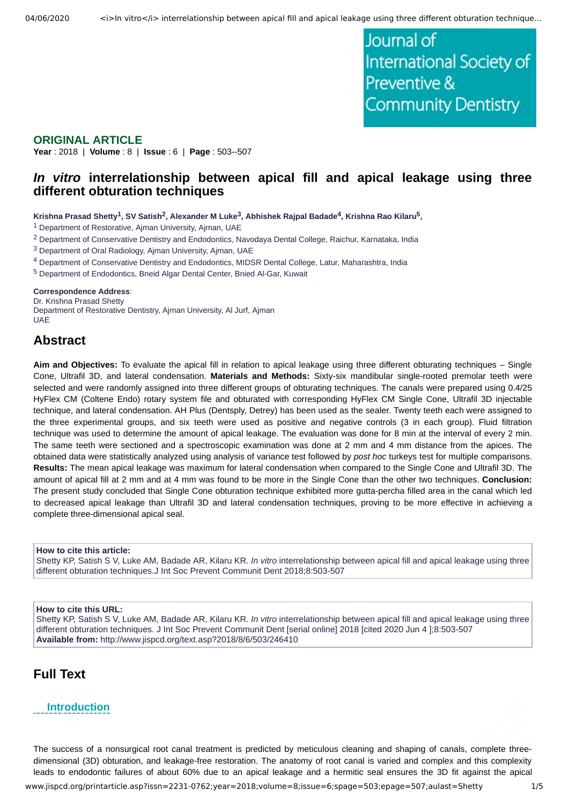Journal of International Society of Preventive & **Community Dentistry** 

### **ORIGINAL ARTICLE**

**Year** : 2018 | **Volume** : 8 | **Issue** : 6 | **Page** : 503--507

# *In vitro* **interrelationship between apical fill and apical leakage using three different obturation techniques**

 $\kappa$ rishna Prasad Shetty $^1$ , SV Satish $^2$ , Alexander M Luke $^3$ , Abhishek Rajpal Badade $^4$ , Krishna Rao Kilaru $^5$ ,

<sup>1</sup> Department of Restorative, Ajman University, Ajman, UAE

<sup>2</sup> Department of Conservative Dentistry and Endodontics, Navodaya Dental College, Raichur, Karnataka, India

<sup>3</sup> Department of Oral Radiology, Ajman University, Ajman, UAE

4 Department of Conservative Dentistry and Endodontics, MIDSR Dental College, Latur, Maharashtra, India

5 Department of Endodontics, Bneid Algar Dental Center, Bnied Al-Gar, Kuwait

#### **Correspondence Address**:

Dr. Krishna Prasad Shetty Department of Restorative Dentistry, Ajman University, Al Jurf, Ajman **UAE** 

## **Abstract**

**Aim and Objectives:** To evaluate the apical fill in relation to apical leakage using three different obturating techniques – Single Cone, Ultrafil 3D, and lateral condensation. **Materials and Methods:** Sixty-six mandibular single-rooted premolar teeth were selected and were randomly assigned into three different groups of obturating techniques. The canals were prepared using 0.4/25 HyFlex CM (Coltene Endo) rotary system file and obturated with corresponding HyFlex CM Single Cone, Ultrafil 3D injectable technique, and lateral condensation. AH Plus (Dentsply, Detrey) has been used as the sealer. Twenty teeth each were assigned to the three experimental groups, and six teeth were used as positive and negative controls (3 in each group). Fluid filtration technique was used to determine the amount of apical leakage. The evaluation was done for 8 min at the interval of every 2 min. The same teeth were sectioned and a spectroscopic examination was done at 2 mm and 4 mm distance from the apices. The obtained data were statistically analyzed using analysis of variance test followed by *post hoc* turkeys test for multiple comparisons. **Results:** The mean apical leakage was maximum for lateral condensation when compared to the Single Cone and Ultrafil 3D. The amount of apical fill at 2 mm and at 4 mm was found to be more in the Single Cone than the other two techniques. **Conclusion:** The present study concluded that Single Cone obturation technique exhibited more gutta-percha filled area in the canal which led to decreased apical leakage than Ultrafil 3D and lateral condensation techniques, proving to be more effective in achieving a complete three-dimensional apical seal.

#### **How to cite this article:**

Shetty KP, Satish S V, Luke AM, Badade AR, Kilaru KR. *In vitro* interrelationship between apical fill and apical leakage using three different obturation techniques.J Int Soc Prevent Communit Dent 2018;8:503-507

### **How to cite this URL:**

Shetty KP, Satish S V, Luke AM, Badade AR, Kilaru KR. *In vitro* interrelationship between apical fill and apical leakage using three different obturation techniques. J Int Soc Prevent Communit Dent [serial online] 2018 [cited 2020 Jun 4 ];8:503-507 **Available from:** http://www.jispcd.org/text.asp?2018/8/6/503/246410

# **Full Text**

### **Introduction**

The success of a nonsurgical root canal treatment is predicted by meticulous cleaning and shaping of canals, complete threedimensional (3D) obturation, and leakage-free restoration. The anatomy of root canal is varied and complex and this complexity leads to endodontic failures of about 60% due to an apical leakage and a hermitic seal ensures the 3D fit against the apical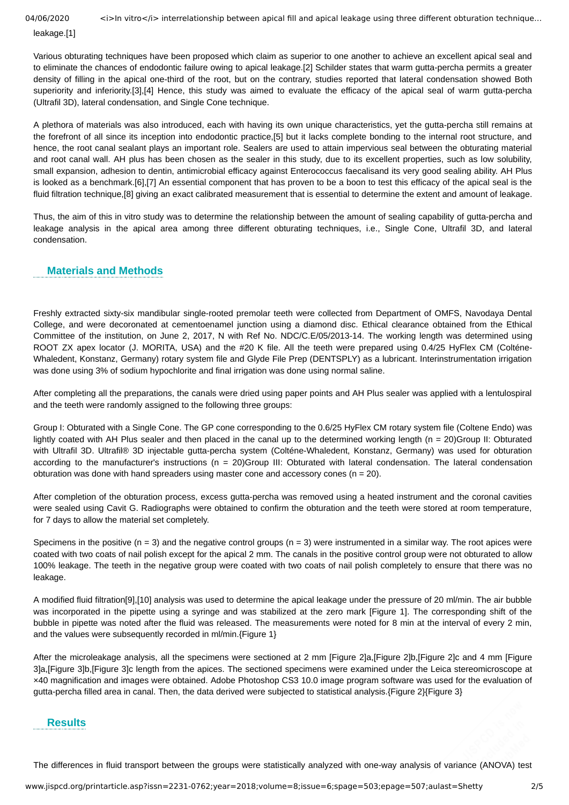04/06/2020 <i>ln vitro</i> interrelationship between apical fill and apical leakage using three different obturation technique...

leakage.[1]

Various obturating techniques have been proposed which claim as superior to one another to achieve an excellent apical seal and to eliminate the chances of endodontic failure owing to apical leakage.[2] Schilder states that warm gutta-percha permits a greater density of filling in the apical one-third of the root, but on the contrary, studies reported that lateral condensation showed Both superiority and inferiority.[3],[4] Hence, this study was aimed to evaluate the efficacy of the apical seal of warm gutta-percha (Ultrafil 3D), lateral condensation, and Single Cone technique.

A plethora of materials was also introduced, each with having its own unique characteristics, yet the gutta-percha still remains at the forefront of all since its inception into endodontic practice,[5] but it lacks complete bonding to the internal root structure, and hence, the root canal sealant plays an important role. Sealers are used to attain impervious seal between the obturating material and root canal wall. AH plus has been chosen as the sealer in this study, due to its excellent properties, such as low solubility, small expansion, adhesion to dentin, antimicrobial efficacy against Enterococcus faecalisand its very good sealing ability. AH Plus is looked as a benchmark.[6],[7] An essential component that has proven to be a boon to test this efficacy of the apical seal is the fluid filtration technique,[8] giving an exact calibrated measurement that is essential to determine the extent and amount of leakage.

Thus, the aim of this in vitro study was to determine the relationship between the amount of sealing capability of gutta-percha and leakage analysis in the apical area among three different obturating techniques, i.e., Single Cone, Ultrafil 3D, and lateral condensation.

## **Materials and Methods**

Freshly extracted sixty-six mandibular single-rooted premolar teeth were collected from Department of OMFS, Navodaya Dental College, and were decoronated at cementoenamel junction using a diamond disc. Ethical clearance obtained from the Ethical Committee of the institution, on June 2, 2017, N with Ref No. NDC/C.E/05/2013-14. The working length was determined using ROOT ZX apex locator (J. MORITA, USA) and the #20 K file. All the teeth were prepared using 0.4/25 HyFlex CM (Colténe-Whaledent, Konstanz, Germany) rotary system file and Glyde File Prep (DENTSPLY) as a lubricant. Interinstrumentation irrigation was done using 3% of sodium hypochlorite and final irrigation was done using normal saline.

After completing all the preparations, the canals were dried using paper points and AH Plus sealer was applied with a lentulospiral and the teeth were randomly assigned to the following three groups:

Group I: Obturated with a Single Cone. The GP cone corresponding to the 0.6/25 HyFlex CM rotary system file (Coltene Endo) was lightly coated with AH Plus sealer and then placed in the canal up to the determined working length (n = 20)Group II: Obturated with Ultrafil 3D. Ultrafil® 3D injectable gutta-percha system (Colténe-Whaledent, Konstanz, Germany) was used for obturation according to the manufacturer's instructions (n = 20)Group III: Obturated with lateral condensation. The lateral condensation obturation was done with hand spreaders using master cone and accessory cones ( $n = 20$ ).

After completion of the obturation process, excess gutta-percha was removed using a heated instrument and the coronal cavities were sealed using Cavit G. Radiographs were obtained to confirm the obturation and the teeth were stored at room temperature, for 7 days to allow the material set completely.

Specimens in the positive (n = 3) and the negative control groups (n = 3) were instrumented in a similar way. The root apices were coated with two coats of nail polish except for the apical 2 mm. The canals in the positive control group were not obturated to allow 100% leakage. The teeth in the negative group were coated with two coats of nail polish completely to ensure that there was no leakage.

A modified fluid filtration[9],[10] analysis was used to determine the apical leakage under the pressure of 20 ml/min. The air bubble was incorporated in the pipette using a syringe and was stabilized at the zero mark [Figure 1]. The corresponding shift of the bubble in pipette was noted after the fluid was released. The measurements were noted for 8 min at the interval of every 2 min, and the values were subsequently recorded in ml/min. {Figure 1}

After the microleakage analysis, all the specimens were sectioned at 2 mm [Figure 2]a,[Figure 2]b,[Figure 2]c and 4 mm [Figure 3]a,[Figure 3]b,[Figure 3]c length from the apices. The sectioned specimens were examined under the Leica stereomicroscope at ×40 magnification and images were obtained. Adobe Photoshop CS3 10.0 image program software was used for the evaluation of gutta-percha filled area in canal. Then, the data derived were subjected to statistical analysis.{Figure 2}{Figure 3}

## **Results**

The differences in fluid transport between the groups were statistically analyzed with one-way analysis of variance (ANOVA) test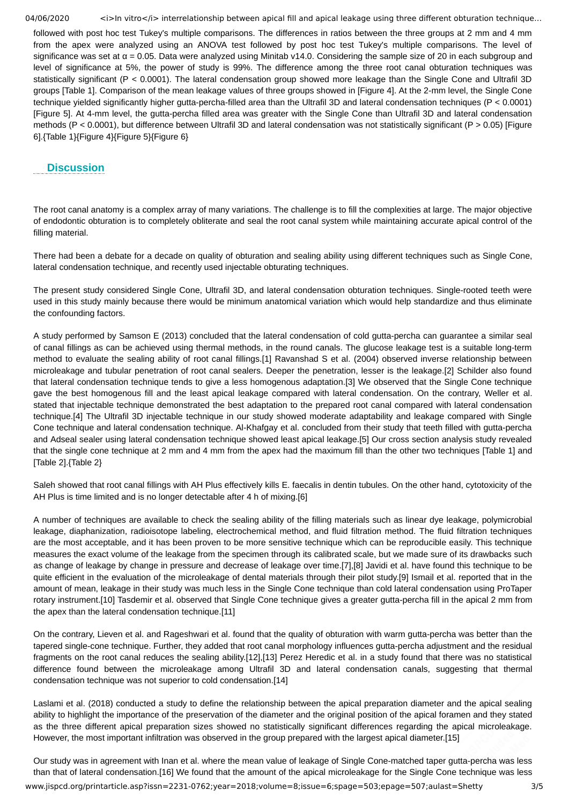04/06/2020 <i>In vitro</i> interrelationship between apical fill and apical leakage using three different obturation technique...

followed with post hoc test Tukey's multiple comparisons. The differences in ratios between the three groups at 2 mm and 4 mm from the apex were analyzed using an ANOVA test followed by post hoc test Tukey's multiple comparisons. The level of significance was set at  $\alpha$  = 0.05. Data were analyzed using Minitab v14.0. Considering the sample size of 20 in each subgroup and level of significance at 5%, the power of study is 99%. The difference among the three root canal obturation techniques was statistically significant (P < 0.0001). The lateral condensation group showed more leakage than the Single Cone and Ultrafil 3D groups [Table 1]. Comparison of the mean leakage values of three groups showed in [Figure 4]. At the 2-mm level, the Single Cone technique yielded significantly higher gutta-percha-filled area than the Ultrafil 3D and lateral condensation techniques (P < 0.0001) [Figure 5]. At 4-mm level, the gutta-percha filled area was greater with the Single Cone than Ultrafil 3D and lateral condensation methods (P < 0.0001), but difference between Ultrafil 3D and lateral condensation was not statistically significant (P > 0.05) [Figure 6].{Table 1}{Figure 4}{Figure 5}{Figure 6}

## **Discussion**

The root canal anatomy is a complex array of many variations. The challenge is to fill the complexities at large. The major objective of endodontic obturation is to completely obliterate and seal the root canal system while maintaining accurate apical control of the filling material.

There had been a debate for a decade on quality of obturation and sealing ability using different techniques such as Single Cone, lateral condensation technique, and recently used injectable obturating techniques.

The present study considered Single Cone, Ultrafil 3D, and lateral condensation obturation techniques. Single-rooted teeth were used in this study mainly because there would be minimum anatomical variation which would help standardize and thus eliminate the confounding factors.

A study performed by Samson E (2013) concluded that the lateral condensation of cold gutta-percha can guarantee a similar seal of canal fillings as can be achieved using thermal methods, in the round canals. The glucose leakage test is a suitable long-term method to evaluate the sealing ability of root canal fillings.[1] Ravanshad S et al. (2004) observed inverse relationship between microleakage and tubular penetration of root canal sealers. Deeper the penetration, lesser is the leakage.[2] Schilder also found that lateral condensation technique tends to give a less homogenous adaptation.[3] We observed that the Single Cone technique gave the best homogenous fill and the least apical leakage compared with lateral condensation. On the contrary, Weller et al. stated that injectable technique demonstrated the best adaptation to the prepared root canal compared with lateral condensation technique.[4] The Ultrafil 3D injectable technique in our study showed moderate adaptability and leakage compared with Single Cone technique and lateral condensation technique. Al-Khafgay et al. concluded from their study that teeth filled with gutta-percha and Adseal sealer using lateral condensation technique showed least apical leakage.[5] Our cross section analysis study revealed that the single cone technique at 2 mm and 4 mm from the apex had the maximum fill than the other two techniques [Table 1] and [Table 2].{Table 2}

Saleh showed that root canal fillings with AH Plus effectively kills E. faecalis in dentin tubules. On the other hand, cytotoxicity of the AH Plus is time limited and is no longer detectable after 4 h of mixing.[6]

A number of techniques are available to check the sealing ability of the filling materials such as linear dye leakage, polymicrobial leakage, diaphanization, radioisotope labeling, electrochemical method, and fluid filtration method. The fluid filtration techniques are the most acceptable, and it has been proven to be more sensitive technique which can be reproducible easily. This technique measures the exact volume of the leakage from the specimen through its calibrated scale, but we made sure of its drawbacks such as change of leakage by change in pressure and decrease of leakage over time.[7],[8] Javidi et al. have found this technique to be quite efficient in the evaluation of the microleakage of dental materials through their pilot study.[9] Ismail et al. reported that in the amount of mean, leakage in their study was much less in the Single Cone technique than cold lateral condensation using ProTaper rotary instrument.[10] Tasdemir et al. observed that Single Cone technique gives a greater gutta-percha fill in the apical 2 mm from the apex than the lateral condensation technique.[11]

On the contrary, Lieven et al. and Rageshwari et al. found that the quality of obturation with warm gutta-percha was better than the tapered single-cone technique. Further, they added that root canal morphology influences gutta-percha adjustment and the residual fragments on the root canal reduces the sealing ability.[12],[13] Perez Heredic et al. in a study found that there was no statistical difference found between the microleakage among Ultrafil 3D and lateral condensation canals, suggesting that thermal condensation technique was not superior to cold condensation.[14]

Laslami et al. (2018) conducted a study to define the relationship between the apical preparation diameter and the apical sealing ability to highlight the importance of the preservation of the diameter and the original position of the apical foramen and they stated as the three different apical preparation sizes showed no statistically significant differences regarding the apical microleakage. However, the most important infiltration was observed in the group prepared with the largest apical diameter.[15]

www.jispcd.org/printarticle.asp?issn=2231-0762;year=2018;volume=8;issue=6;spage=503;epage=507;aulast=Shetty 3/5 Our study was in agreement with Inan et al. where the mean value of leakage of Single Cone-matched taper gutta-percha was less than that of lateral condensation.[16] We found that the amount of the apical microleakage for the Single Cone technique was less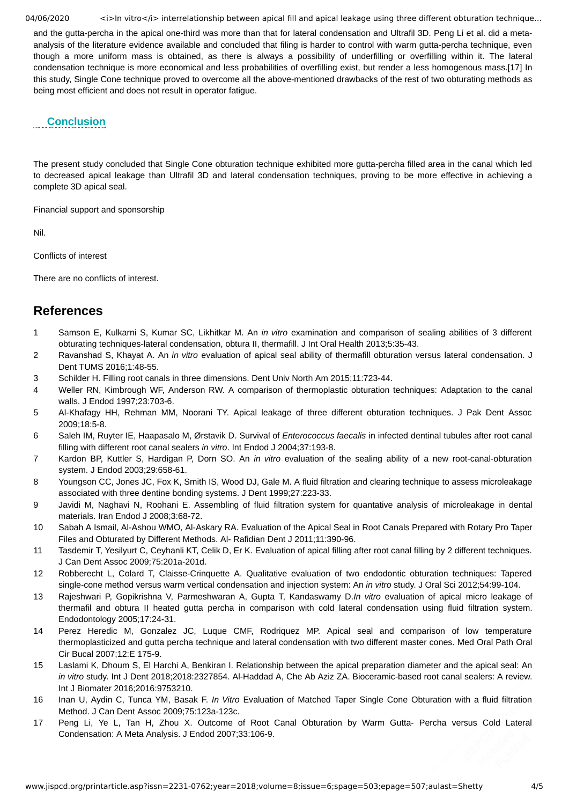04/06/2020 <i>In vitro</i>interrelationship between apical fill and apical leakage using three different obturation technique...

and the gutta-percha in the apical one-third was more than that for lateral condensation and Ultrafil 3D. Peng Li et al. did a metaanalysis of the literature evidence available and concluded that filing is harder to control with warm gutta-percha technique, even though a more uniform mass is obtained, as there is always a possibility of underfilling or overfilling within it. The lateral condensation technique is more economical and less probabilities of overfilling exist, but render a less homogenous mass.[17] In this study, Single Cone technique proved to overcome all the above-mentioned drawbacks of the rest of two obturating methods as being most efficient and does not result in operator fatigue.

## **Conclusion**

The present study concluded that Single Cone obturation technique exhibited more gutta-percha filled area in the canal which led to decreased apical leakage than Ultrafil 3D and lateral condensation techniques, proving to be more effective in achieving a complete 3D apical seal.

Financial support and sponsorship

Nil.

Conflicts of interest

There are no conflicts of interest.

# **References**

- 1 Samson E, Kulkarni S, Kumar SC, Likhitkar M. An *in vitro* examination and comparison of sealing abilities of 3 different obturating techniques-lateral condensation, obtura II, thermafill. J Int Oral Health 2013;5:35-43.
- 2 Ravanshad S, Khayat A. An *in vitro* evaluation of apical seal ability of thermafill obturation versus lateral condensation. J Dent TUMS 2016;1:48-55.
- 3 Schilder H. Filling root canals in three dimensions. Dent Univ North Am 2015;11:723-44.
- 4 Weller RN, Kimbrough WF, Anderson RW. A comparison of thermoplastic obturation techniques: Adaptation to the canal walls. J Endod 1997;23:703-6.
- 5 Al-Khafagy HH, Rehman MM, Noorani TY. Apical leakage of three different obturation techniques. J Pak Dent Assoc 2009;18:5-8.
- 6 Saleh IM, Ruyter IE, Haapasalo M, Ørstavik D. Survival of *Enterococcus faecalis* in infected dentinal tubules after root canal filling with different root canal sealers *in vitro*. Int Endod J 2004;37:193-8.
- 7 Kardon BP, Kuttler S, Hardigan P, Dorn SO. An *in vitro* evaluation of the sealing ability of a new root-canal-obturation system. J Endod 2003;29:658-61.
- 8 Youngson CC, Jones JC, Fox K, Smith IS, Wood DJ, Gale M. A fluid filtration and clearing technique to assess microleakage associated with three dentine bonding systems. J Dent 1999;27:223-33.
- 9 Javidi M, Naghavi N, Roohani E. Assembling of fluid filtration system for quantative analysis of microleakage in dental materials. Iran Endod J 2008;3:68-72.
- 10 Sabah A Ismail, Al-Ashou WMO, Al-Askary RA. Evaluation of the Apical Seal in Root Canals Prepared with Rotary Pro Taper Files and Obturated by Different Methods. Al- Rafidian Dent J 2011;11:390-96.
- 11 Tasdemir T, Yesilyurt C, Ceyhanli KT, Celik D, Er K. Evaluation of apical filling after root canal filling by 2 different techniques. J Can Dent Assoc 2009;75:201a-201d.
- 12 Robberecht L, Colard T, Claisse-Crinquette A. Qualitative evaluation of two endodontic obturation techniques: Tapered single-cone method versus warm vertical condensation and injection system: An *in vitro* study. J Oral Sci 2012;54:99-104.
- 13 Rajeshwari P, Gopikrishna V, Parmeshwaran A, Gupta T, Kandaswamy D.*In vitro* evaluation of apical micro leakage of thermafil and obtura II heated gutta percha in comparison with cold lateral condensation using fluid filtration system. Endodontology 2005;17:24-31.
- 14 Perez Heredic M, Gonzalez JC, Luque CMF, Rodriquez MP. Apical seal and comparison of low temperature thermoplasticized and gutta percha technique and lateral condensation with two different master cones. Med Oral Path Oral Cir Bucal 2007;12:E 175-9.
- 15 Laslami K, Dhoum S, El Harchi A, Benkiran I. Relationship between the apical preparation diameter and the apical seal: An *in vitro* study. Int J Dent 2018;2018:2327854. Al-Haddad A, Che Ab Aziz ZA. Bioceramic-based root canal sealers: A review. Int J Biomater 2016;2016:9753210.
- 16 Inan U, Aydin C, Tunca YM, Basak F. *In Vitro* Evaluation of Matched Taper Single Cone Obturation with a fluid filtration Method. J Can Dent Assoc 2009;75:123a-123c.
- 17 Peng Li, Ye L, Tan H, Zhou X. Outcome of Root Canal Obturation by Warm Gutta- Percha versus Cold Lateral Condensation: A Meta Analysis. J Endod 2007;33:106-9.